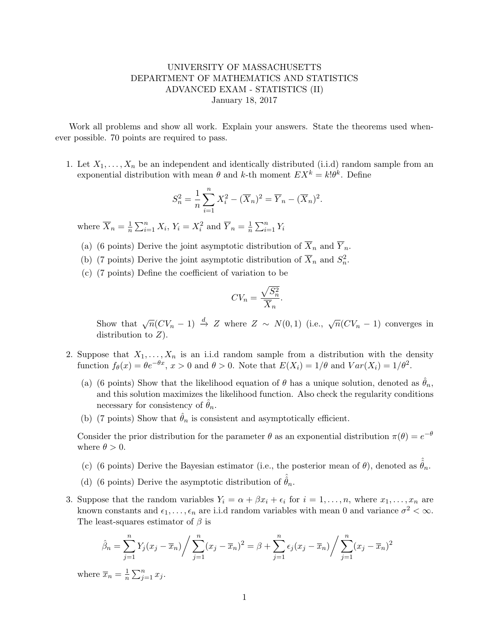## UNIVERSITY OF MASSACHUSETTS DEPARTMENT OF MATHEMATICS AND STATISTICS ADVANCED EXAM - STATISTICS (II) January 18, 2017

Work all problems and show all work. Explain your answers. State the theorems used whenever possible. 70 points are required to pass.

1. Let  $X_1, \ldots, X_n$  be an independent and identically distributed (i.i.d) random sample from an exponential distribution with mean  $\theta$  and k-th moment  $EX^k = k! \theta^k$ . Define

$$
S_n^2 = \frac{1}{n} \sum_{i=1}^n X_i^2 - (\overline{X}_n)^2 = \overline{Y}_n - (\overline{X}_n)^2.
$$

where  $\overline{X}_n = \frac{1}{n}$  $\frac{1}{n}\sum_{i=1}^n X_i$ ,  $Y_i = X_i^2$  and  $\overline{Y}_n = \frac{1}{n}$  $\frac{1}{n}\sum_{i=1}^n Y_i$ 

- (a) (6 points) Derive the joint asymptotic distribution of  $\overline{X}_n$  and  $\overline{Y}_n$ .
- (b) (7 points) Derive the joint asymptotic distribution of  $\overline{X}_n$  and  $S_n^2$ .
- (c) (7 points) Define the coefficient of variation to be

$$
CV_n = \frac{\sqrt{S_n^2}}{\overline{X}_n}.
$$

Show that  $\sqrt{n}(CV_n-1) \stackrel{d}{\rightarrow} Z$  where  $Z \sim N(0,1)$  (i.e.,  $\sqrt{n}(CV_n-1)$  converges in distribution to  $Z$ ).

- 2. Suppose that  $X_1, \ldots, X_n$  is an i.i.d random sample from a distribution with the density function  $f_{\theta}(x) = \theta e^{-\theta x}$ ,  $x > 0$  and  $\theta > 0$ . Note that  $E(X_i) = 1/\theta$  and  $Var(X_i) = 1/\theta^2$ .
	- (a) (6 points) Show that the likelihood equation of  $\theta$  has a unique solution, denoted as  $\hat{\theta}_n$ , and this solution maximizes the likelihood function. Also check the regularity conditions necessary for consistency of  $\theta_n$ .
	- (b) (7 points) Show that  $\hat{\theta}_n$  is consistent and asymptotically efficient.

Consider the prior distribution for the parameter  $\theta$  as an exponential distribution  $\pi(\theta) = e^{-\theta}$ where  $\theta > 0$ .

- (c) (6 points) Derive the Bayesian estimator (i.e., the posterior mean of  $\theta$ ), denoted as  $\hat{\theta}_n$ .
- (d) (6 points) Derive the asymptotic distribution of  $\hat{\theta}_n$ .
- 3. Suppose that the random variables  $Y_i = \alpha + \beta x_i + \epsilon_i$  for  $i = 1, \ldots, n$ , where  $x_1, \ldots, x_n$  are known constants and  $\epsilon_1, \ldots, \epsilon_n$  are i.i.d random variables with mean 0 and variance  $\sigma^2 < \infty$ . The least-squares estimator of  $\beta$  is

$$
\hat{\beta}_n = \sum_{j=1}^n Y_j (x_j - \overline{x}_n) / \sum_{j=1}^n (x_j - \overline{x}_n)^2 = \beta + \sum_{j=1}^n \epsilon_j (x_j - \overline{x}_n) / \sum_{j=1}^n (x_j - \overline{x}_n)^2
$$

where  $\overline{x}_n = \frac{1}{n}$  $\frac{1}{n} \sum_{j=1}^n x_j$ .